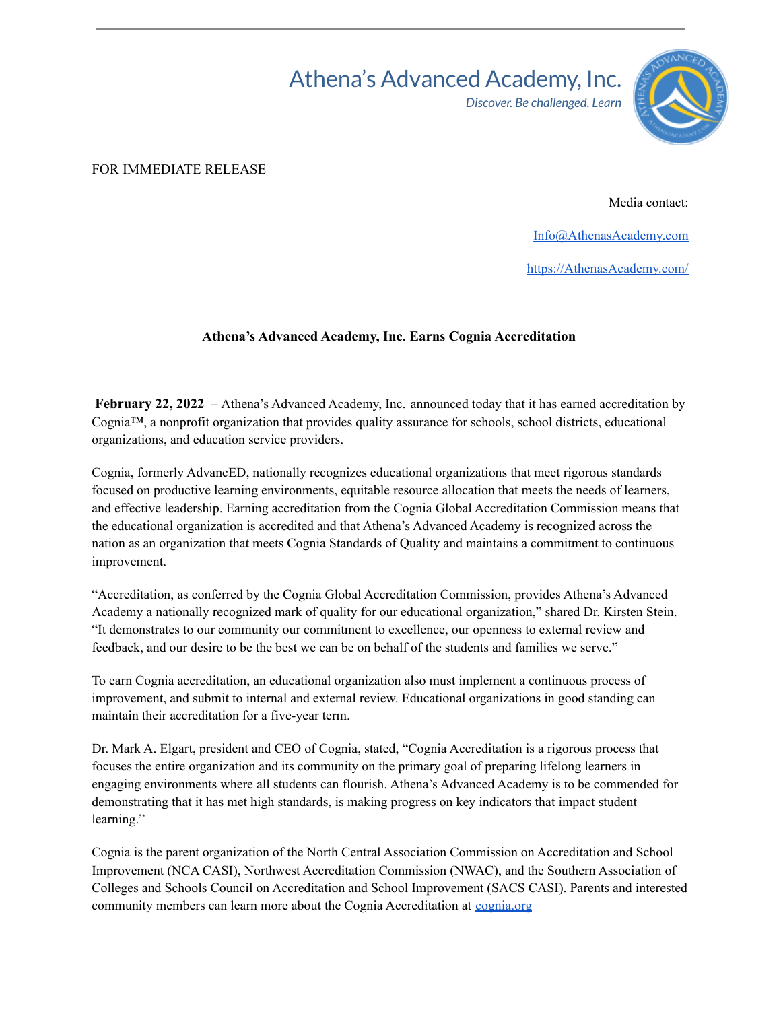## Athena's Advanced Academy, Inc.

*Discover. Be challenged. Learn*



FOR IMMEDIATE RELEASE

Media contact:

[Info@AthenasAcademy.com](mailto:Info@AthenasAcademy.com)

[https://AthenasAcademy.com/](https://athenasacademy.com/)

## **Athena's Advanced Academy, Inc. Earns Cognia Accreditation**

**February 22, 2022 –** Athena's Advanced Academy, Inc. announced today that it has earned accreditation by Cognia<sup>™</sup>, a nonprofit organization that provides quality assurance for schools, school districts, educational organizations, and education service providers.

Cognia, formerly AdvancED, nationally recognizes educational organizations that meet rigorous standards focused on productive learning environments, equitable resource allocation that meets the needs of learners, and effective leadership. Earning accreditation from the Cognia Global Accreditation Commission means that the educational organization is accredited and that Athena's Advanced Academy is recognized across the nation as an organization that meets Cognia Standards of Quality and maintains a commitment to continuous improvement.

"Accreditation, as conferred by the Cognia Global Accreditation Commission, provides Athena's Advanced Academy a nationally recognized mark of quality for our educational organization," shared Dr. Kirsten Stein. "It demonstrates to our community our commitment to excellence, our openness to external review and feedback, and our desire to be the best we can be on behalf of the students and families we serve."

To earn Cognia accreditation, an educational organization also must implement a continuous process of improvement, and submit to internal and external review. Educational organizations in good standing can maintain their accreditation for a five-year term.

Dr. Mark A. Elgart, president and CEO of Cognia, stated, "Cognia Accreditation is a rigorous process that focuses the entire organization and its community on the primary goal of preparing lifelong learners in engaging environments where all students can flourish. Athena's Advanced Academy is to be commended for demonstrating that it has met high standards, is making progress on key indicators that impact student learning."

Cognia is the parent organization of the North Central Association Commission on Accreditation and School Improvement (NCA CASI), Northwest Accreditation Commission (NWAC), and the Southern Association of Colleges and Schools Council on Accreditation and School Improvement (SACS CASI). Parents and interested community members can learn more about the Cognia Accreditation at [cognia.org](https://www.cognia.org/accreditation-certification/)